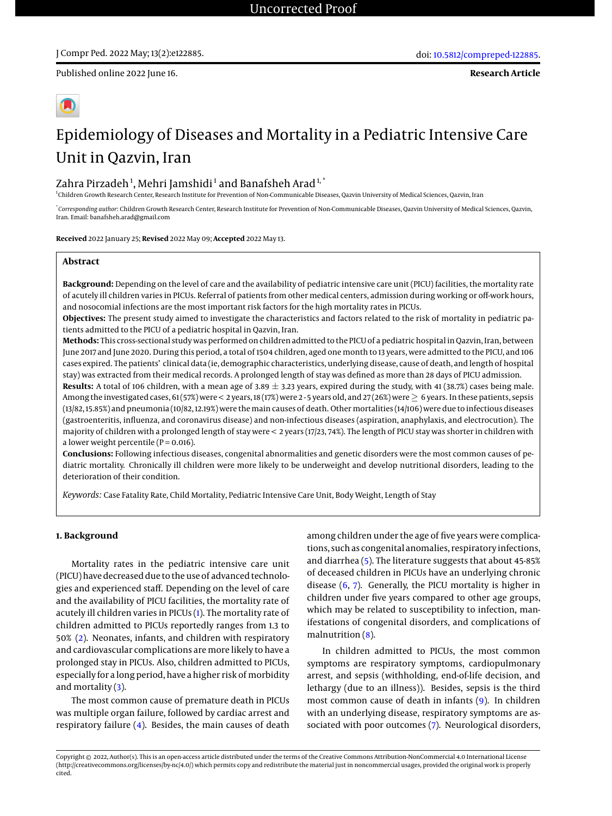Published online 2022 June 16.



# Epidemiology of Diseases and Mortality in a Pediatric Intensive Care Unit in Qazvin, Iran

# Zahra Pirzadeh $^1$ , Mehri Jamshidi $^1$  and Banafsheh Arad $^{\rm 1, *}$

1 Children Growth Research Center, Research Institute for Prevention of Non-Communicable Diseases, Qazvin University of Medical Sciences, Qazvin, Iran

\* *Corresponding author*: Children Growth Research Center, Research Institute for Prevention of Non-Communicable Diseases, Qazvin University of Medical Sciences, Qazvin, Iran. Email: banafsheh.arad@gmail.com

**Received** 2022 January 25; **Revised** 2022 May 09; **Accepted** 2022 May 13.

#### **Abstract**

**Background:** Depending on the level of care and the availability of pediatric intensive care unit (PICU) facilities, the mortality rate of acutely ill children varies in PICUs. Referral of patients from other medical centers, admission during working or off-work hours, and nosocomial infections are the most important risk factors for the high mortality rates in PICUs.

**Objectives:** The present study aimed to investigate the characteristics and factors related to the risk of mortality in pediatric patients admitted to the PICU of a pediatric hospital in Qazvin, Iran.

**Methods:** This cross-sectional study was performed on children admitted to the PICU of a pediatric hospital in Qazvin, Iran, between June 2017 and June 2020. During this period, a total of 1504 children, aged one month to 13 years, were admitted to the PICU, and 106 cases expired. The patients' clinical data (ie, demographic characteristics, underlying disease, cause of death, and length of hospital stay) was extracted from their medical records. A prolonged length of stay was defined as more than 28 days of PICU admission.

Results: A total of 106 children, with a mean age of 3.89  $\pm$  3.23 years, expired during the study, with 41 (38.7%) cases being male. Among the investigated cases, 61 (57%) were < 2 years, 18 (17%) were 2 - 5 years old, and 27 (26%) were≥ 6 years. In these patients, sepsis (13/82, 15.85%) and pneumonia (10/82, 12.19%) were the main causes of death. Other mortalities (14/106) were due to infectious diseases (gastroenteritis, influenza, and coronavirus disease) and non-infectious diseases (aspiration, anaphylaxis, and electrocution). The majority of children with a prolonged length of stay were < 2 years (17/23, 74%). The length of PICU stay was shorter in children with a lower weight percentile ( $P = 0.016$ ).

**Conclusions:** Following infectious diseases, congenital abnormalities and genetic disorders were the most common causes of pediatric mortality. Chronically ill children were more likely to be underweight and develop nutritional disorders, leading to the deterioration of their condition.

*Keywords:* Case Fatality Rate, Child Mortality, Pediatric Intensive Care Unit, Body Weight, Length of Stay

## **1. Background**

Mortality rates in the pediatric intensive care unit (PICU) have decreased due to the use of advanced technologies and experienced staff. Depending on the level of care and the availability of PICU facilities, the mortality rate of acutely ill children varies in PICUs [\(1\)](#page-4-0). The mortality rate of children admitted to PICUs reportedly ranges from 1.3 to 50% [\(2\)](#page-4-1). Neonates, infants, and children with respiratory and cardiovascular complications are more likely to have a prolonged stay in PICUs. Also, children admitted to PICUs, especially for a long period, have a higher risk of morbidity and mortality  $(3)$ .

The most common cause of premature death in PICUs was multiple organ failure, followed by cardiac arrest and respiratory failure [\(4\)](#page-4-3). Besides, the main causes of death

among children under the age of five years were complications, such as congenital anomalies, respiratory infections, and diarrhea [\(5\)](#page-4-4). The literature suggests that about 45-85% of deceased children in PICUs have an underlying chronic disease [\(6,](#page-4-5) [7\)](#page-4-6). Generally, the PICU mortality is higher in children under five years compared to other age groups, which may be related to susceptibility to infection, manifestations of congenital disorders, and complications of malnutrition [\(8\)](#page-4-7).

In children admitted to PICUs, the most common symptoms are respiratory symptoms, cardiopulmonary arrest, and sepsis (withholding, end-of-life decision, and lethargy (due to an illness)). Besides, sepsis is the third most common cause of death in infants [\(9\)](#page-4-8). In children with an underlying disease, respiratory symptoms are associated with poor outcomes [\(7\)](#page-4-6). Neurological disorders,

Copyright © 2022, Author(s). This is an open-access article distributed under the terms of the Creative Commons Attribution-NonCommercial 4.0 International License (http://creativecommons.org/licenses/by-nc/4.0/) which permits copy and redistribute the material just in noncommercial usages, provided the original work is properly cited.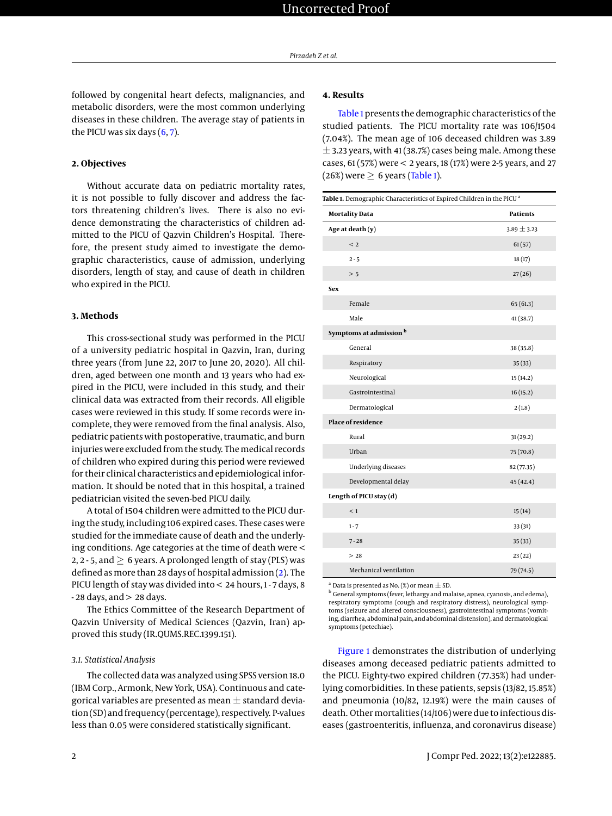followed by congenital heart defects, malignancies, and metabolic disorders, were the most common underlying diseases in these children. The average stay of patients in the PICU was six days  $(6, 7)$  $(6, 7)$  $(6, 7)$ .

#### **2. Objectives**

Without accurate data on pediatric mortality rates, it is not possible to fully discover and address the factors threatening children's lives. There is also no evidence demonstrating the characteristics of children admitted to the PICU of Qazvin Children's Hospital. Therefore, the present study aimed to investigate the demographic characteristics, cause of admission, underlying disorders, length of stay, and cause of death in children who expired in the PICU.

#### **3. Methods**

This cross-sectional study was performed in the PICU of a university pediatric hospital in Qazvin, Iran, during three years (from June 22, 2017 to June 20, 2020). All children, aged between one month and 13 years who had expired in the PICU, were included in this study, and their clinical data was extracted from their records. All eligible cases were reviewed in this study. If some records were incomplete, they were removed from the final analysis. Also, pediatric patients with postoperative, traumatic, and burn injuries were excluded from the study. The medical records of children who expired during this period were reviewed for their clinical characteristics and epidemiological information. It should be noted that in this hospital, a trained pediatrician visited the seven-bed PICU daily.

A total of 1504 children were admitted to the PICU during the study, including 106 expired cases. These cases were studied for the immediate cause of death and the underlying conditions. Age categories at the time of death were < 2, 2 - 5, and  $> 6$  years. A prolonged length of stay (PLS) was defined as more than 28 days of hospital admission [\(2\)](#page-4-1). The PICU length of stay was divided into < 24 hours, 1 - 7 days, 8 - 28 days, and > 28 days.

The Ethics Committee of the Research Department of Qazvin University of Medical Sciences (Qazvin, Iran) approved this study (IR.QUMS.REC.1399.151).

#### *3.1. Statistical Analysis*

The collected data was analyzed using SPSS version 18.0 (IBM Corp., Armonk, New York, USA). Continuous and categorical variables are presented as mean  $\pm$  standard deviation (SD) and frequency (percentage), respectively. P-values less than 0.05 were considered statistically significant.

### **4. Results**

[Table 1](#page-1-0) presents the demographic characteristics of the studied patients. The PICU mortality rate was 106/1504 (7.04%). The mean age of 106 deceased children was 3.89  $\pm$  3.23 years, with 41 (38.7%) cases being male. Among these cases, 61 (57%) were < 2 years, 18 (17%) were 2-5 years, and 27 (26%) were  $\geq 6$  years [\(Table 1\)](#page-1-0).

<span id="page-1-0"></span>

| Table 1. Demographic Characteristics of Expired Children in the PICU <sup>a</sup> |                 |  |  |  |  |
|-----------------------------------------------------------------------------------|-----------------|--|--|--|--|
| <b>Mortality Data</b><br><b>Patients</b>                                          |                 |  |  |  |  |
| Age at death (y)                                                                  | $3.89 \pm 3.23$ |  |  |  |  |
| < 2                                                                               | 61(57)          |  |  |  |  |
| $2 - 5$                                                                           | 18(17)          |  |  |  |  |
| > 5                                                                               | 27(26)          |  |  |  |  |
| <b>Sex</b>                                                                        |                 |  |  |  |  |
| Female                                                                            | 65(61.3)        |  |  |  |  |
| Male                                                                              | 41(38.7)        |  |  |  |  |
| Symptoms at admission <sup>b</sup>                                                |                 |  |  |  |  |
| General                                                                           | 38 (35.8)       |  |  |  |  |
| Respiratory                                                                       | 35(33)          |  |  |  |  |
| Neurological                                                                      | 15(14.2)        |  |  |  |  |
| Gastrointestinal                                                                  | 16(15.2)        |  |  |  |  |
| Dermatological                                                                    | 2(1.8)          |  |  |  |  |
| Place of residence                                                                |                 |  |  |  |  |
| Rural                                                                             | 31(29.2)        |  |  |  |  |
| Urban                                                                             | 75(70.8)        |  |  |  |  |
| <b>Underlying diseases</b>                                                        | 82 (77.35)      |  |  |  |  |
| Developmental delay                                                               | 45(42.4)        |  |  |  |  |
| Length of PICU stay (d)                                                           |                 |  |  |  |  |
| $\leq 1$                                                                          | 15(14)          |  |  |  |  |
| $1 - 7$                                                                           | 33(31)          |  |  |  |  |
| $7 - 28$                                                                          | 35(33)          |  |  |  |  |
| >28                                                                               | 23(22)          |  |  |  |  |
| Mechanical ventilation                                                            | 79 (74.5)       |  |  |  |  |

Data is presented as No.  $(\%)$  or mean  $\pm$  SD.

<sup>b</sup> General symptoms (fever, lethargy and malaise, apnea, cyanosis, and edema), respiratory symptoms (cough and respiratory distress), neurological symptoms (seizure and altered consciousness), gastrointestinal symptoms (vomiting, diarrhea, abdominal pain, and abdominal distension), and dermatological symptoms (petechiae).

[Figure 1](#page-3-0) demonstrates the distribution of underlying diseases among deceased pediatric patients admitted to the PICU. Eighty-two expired children (77.35%) had underlying comorbidities. In these patients, sepsis (13/82, 15.85%) and pneumonia (10/82, 12.19%) were the main causes of death. Other mortalities (14/106) were due to infectious diseases (gastroenteritis, influenza, and coronavirus disease)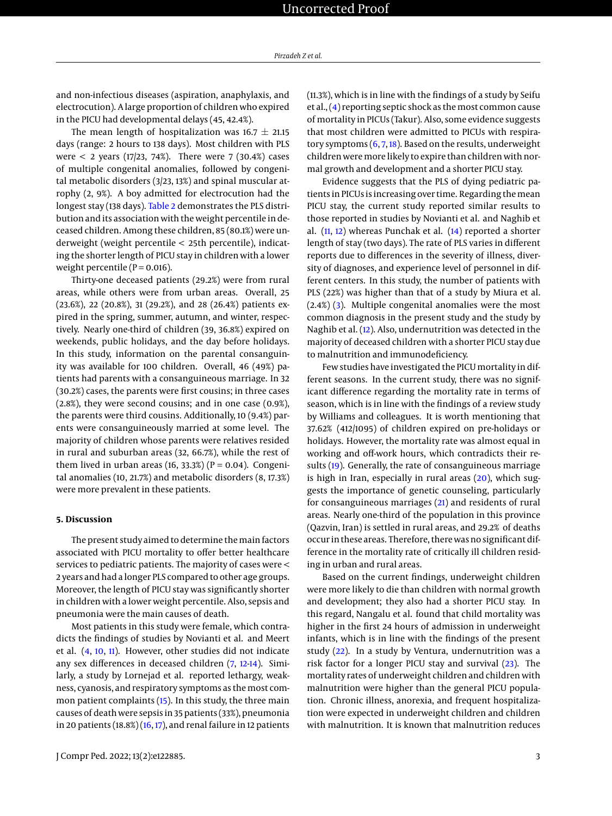and non-infectious diseases (aspiration, anaphylaxis, and electrocution). A large proportion of children who expired in the PICU had developmental delays (45, 42.4%).

The mean length of hospitalization was  $16.7 \pm 21.15$ days (range: 2 hours to 138 days). Most children with PLS were  $< 2$  years (17/23, 74%). There were 7 (30.4%) cases of multiple congenital anomalies, followed by congenital metabolic disorders (3/23, 13%) and spinal muscular atrophy (2, 9%). A boy admitted for electrocution had the longest stay (138 days). [Table 2](#page-3-1) demonstrates the PLS distribution and its association with the weight percentile in deceased children. Among these children, 85 (80.1%) were underweight (weight percentile < 25th percentile), indicating the shorter length of PICU stay in children with a lower weight percentile ( $P = 0.016$ ).

Thirty-one deceased patients (29.2%) were from rural areas, while others were from urban areas. Overall, 25 (23.6%), 22 (20.8%), 31 (29.2%), and 28 (26.4%) patients expired in the spring, summer, autumn, and winter, respectively. Nearly one-third of children (39, 36.8%) expired on weekends, public holidays, and the day before holidays. In this study, information on the parental consanguinity was available for 100 children. Overall, 46 (49%) patients had parents with a consanguineous marriage. In 32 (30.2%) cases, the parents were first cousins; in three cases (2.8%), they were second cousins; and in one case (0.9%), the parents were third cousins. Additionally, 10 (9.4%) parents were consanguineously married at some level. The majority of children whose parents were relatives resided in rural and suburban areas (32, 66.7%), while the rest of them lived in urban areas (16, 33.3%) ( $P = 0.04$ ). Congenital anomalies (10, 21.7%) and metabolic disorders (8, 17.3%) were more prevalent in these patients.

#### **5. Discussion**

The present study aimed to determine the main factors associated with PICU mortality to offer better healthcare services to pediatric patients. The majority of cases were < 2 years and had a longer PLS compared to other age groups. Moreover, the length of PICU stay was significantly shorter in children with a lower weight percentile. Also, sepsis and pneumonia were the main causes of death.

Most patients in this study were female, which contradicts the findings of studies by Novianti et al. and Meert et al. [\(4,](#page-4-3) [10,](#page-4-9) [11\)](#page-4-10). However, other studies did not indicate any sex differences in deceased children [\(7,](#page-4-6) [12-](#page-4-11)[14\)](#page-4-12). Similarly, a study by Lornejad et al. reported lethargy, weakness, cyanosis, and respiratory symptoms as the most common patient complaints [\(15\)](#page-4-13). In this study, the three main causes of death were sepsis in 35 patients (33%), pneumonia in 20 patients  $(18.8%) (16, 17)$  $(18.8%) (16, 17)$  $(18.8%) (16, 17)$  $(18.8%) (16, 17)$ , and renal failure in 12 patients

J Compr Ped. 2022; 13(2):e122885. 3

(11.3%), which is in line with the findings of a study by Seifu et al., [\(4\)](#page-4-3) reporting septic shock as the most common cause of mortality in PICUs (Takur). Also, some evidence suggests that most children were admitted to PICUs with respiratory symptoms  $(6, 7, 18)$  $(6, 7, 18)$  $(6, 7, 18)$  $(6, 7, 18)$  $(6, 7, 18)$ . Based on the results, underweight children were more likely to expire than children with normal growth and development and a shorter PICU stay.

Evidence suggests that the PLS of dying pediatric patients in PICUs is increasing over time. Regarding the mean PICU stay, the current study reported similar results to those reported in studies by Novianti et al. and Naghib et al.  $(11, 12)$  $(11, 12)$  $(11, 12)$  whereas Punchak et al.  $(14)$  reported a shorter length of stay (two days). The rate of PLS varies in different reports due to differences in the severity of illness, diversity of diagnoses, and experience level of personnel in different centers. In this study, the number of patients with PLS (22%) was higher than that of a study by Miura et al. (2.4%) [\(3\)](#page-4-2). Multiple congenital anomalies were the most common diagnosis in the present study and the study by Naghib et al. [\(12\)](#page-4-11). Also, undernutrition was detected in the majority of deceased children with a shorter PICU stay due to malnutrition and immunodeficiency.

Few studies have investigated the PICU mortality in different seasons. In the current study, there was no significant difference regarding the mortality rate in terms of season, which is in line with the findings of a review study by Williams and colleagues. It is worth mentioning that 37.62% (412/1095) of children expired on pre-holidays or holidays. However, the mortality rate was almost equal in working and off-work hours, which contradicts their results [\(19\)](#page-4-17). Generally, the rate of consanguineous marriage is high in Iran, especially in rural areas [\(20\)](#page-5-0), which suggests the importance of genetic counseling, particularly for consanguineous marriages [\(21\)](#page-5-1) and residents of rural areas. Nearly one-third of the population in this province (Qazvin, Iran) is settled in rural areas, and 29.2% of deaths occur in these areas. Therefore, there was no significant difference in the mortality rate of critically ill children residing in urban and rural areas.

Based on the current findings, underweight children were more likely to die than children with normal growth and development; they also had a shorter PICU stay. In this regard, Nangalu et al. found that child mortality was higher in the first 24 hours of admission in underweight infants, which is in line with the findings of the present study [\(22\)](#page-5-2). In a study by Ventura, undernutrition was a risk factor for a longer PICU stay and survival [\(23\)](#page-5-3). The mortality rates of underweight children and children with malnutrition were higher than the general PICU population. Chronic illness, anorexia, and frequent hospitalization were expected in underweight children and children with malnutrition. It is known that malnutrition reduces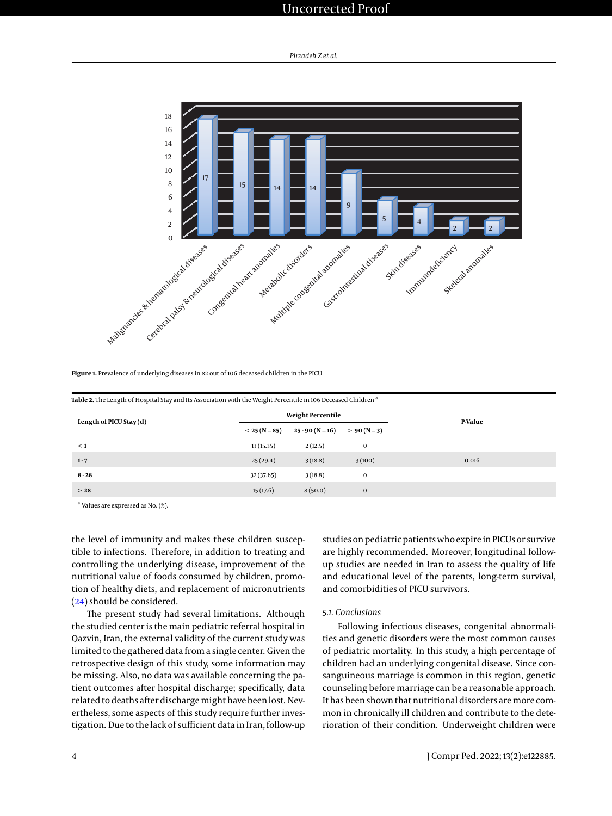# Uncorrected Proof

<span id="page-3-0"></span>

|  |  | Figure 1. Prevalence of underlying diseases in 82 out of 106 deceased children in the PICU |  |
|--|--|--------------------------------------------------------------------------------------------|--|
|  |  |                                                                                            |  |

<span id="page-3-1"></span>

| Table 2. The Length of Hospital Stay and Its Association with the Weight Percentile in 106 Deceased Children <sup>a</sup> |                          |                   |              |         |  |  |  |
|---------------------------------------------------------------------------------------------------------------------------|--------------------------|-------------------|--------------|---------|--|--|--|
| Length of PICU Stay (d)                                                                                                   | <b>Weight Percentile</b> |                   |              | P-Value |  |  |  |
|                                                                                                                           | $< 25 (N = 85)$          | $25 - 90(N = 16)$ | $> 90 (N=3)$ |         |  |  |  |
| $\leq 1$                                                                                                                  | 13(15.35)                | 2(12.5)           | $\mathbf{0}$ |         |  |  |  |
| $1 - 7$                                                                                                                   | 25(29.4)                 | 3(18.8)           | 3(100)       | 0.016   |  |  |  |
| $8 - 28$                                                                                                                  | 32 (37.65)               | 3(18.8)           | $\mathbf{0}$ |         |  |  |  |
| >28                                                                                                                       | 15(17.6)                 | 8(50.0)           | $\mathbf 0$  |         |  |  |  |

<sup>a</sup> Values are expressed as No. (%).

the level of immunity and makes these children susceptible to infections. Therefore, in addition to treating and controlling the underlying disease, improvement of the nutritional value of foods consumed by children, promotion of healthy diets, and replacement of micronutrients [\(24\)](#page-5-4) should be considered.

The present study had several limitations. Although the studied center is the main pediatric referral hospital in Qazvin, Iran, the external validity of the current study was limited to the gathered data from a single center. Given the retrospective design of this study, some information may be missing. Also, no data was available concerning the patient outcomes after hospital discharge; specifically, data related to deaths after discharge might have been lost. Nevertheless, some aspects of this study require further investigation. Due to the lack of sufficient data in Iran, follow-up

studies on pediatric patients who expire in PICUs or survive are highly recommended. Moreover, longitudinal followup studies are needed in Iran to assess the quality of life and educational level of the parents, long-term survival, and comorbidities of PICU survivors.

#### *5.1. Conclusions*

Following infectious diseases, congenital abnormalities and genetic disorders were the most common causes of pediatric mortality. In this study, a high percentage of children had an underlying congenital disease. Since consanguineous marriage is common in this region, genetic counseling before marriage can be a reasonable approach. It has been shown that nutritional disorders are more common in chronically ill children and contribute to the deterioration of their condition. Underweight children were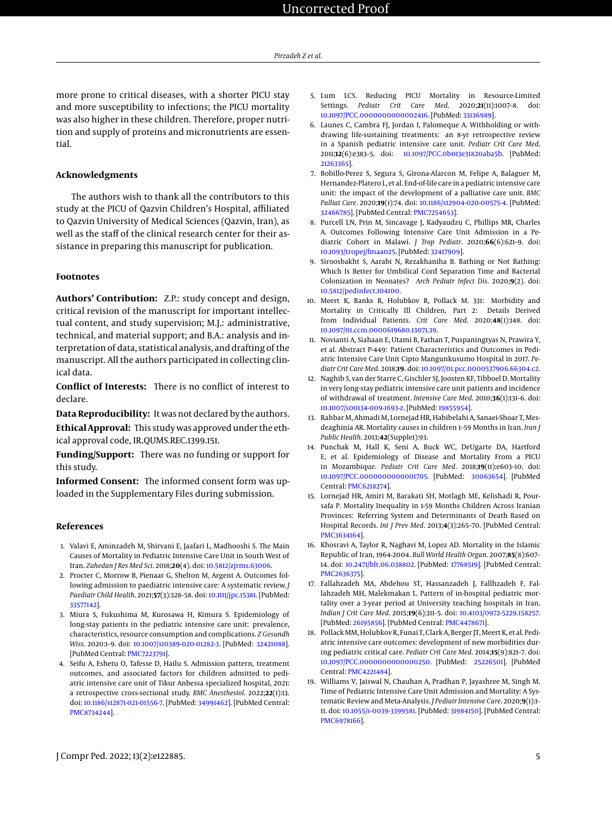more prone to critical diseases, with a shorter PICU stay and more susceptibility to infections; the PICU mortality was also higher in these children. Therefore, proper nutrition and supply of proteins and micronutrients are essential.

#### **Acknowledgments**

The authors wish to thank all the contributors to this study at the PICU of Qazvin Children's Hospital, affiliated to Qazvin University of Medical Sciences (Qazvin, Iran), as well as the staff of the clinical research center for their assistance in preparing this manuscript for publication.

#### **Footnotes**

**Authors' Contribution:** Z.P.: study concept and design, critical revision of the manuscript for important intellectual content, and study supervision; M.J.: administrative, technical, and material support; and B.A.: analysis and interpretation of data, statistical analysis, and drafting of the manuscript. All the authors participated in collecting clinical data.

**Conflict of Interests:** There is no conflict of interest to declare.

**Data Reproducibility:** It was not declared by the authors. **Ethical Approval:** This study was approved under the ethical approval code, IR.QUMS.REC.1399.151.

**Funding/Support:** There was no funding or support for this study.

**Informed Consent:** The informed consent form was uploaded in the Supplementary Files during submission.

#### **References**

- <span id="page-4-0"></span>1. Valavi E, Aminzadeh M, Shirvani E, Jaafari L, Madhooshi S. The Main Causes of Mortality in Pediatric Intensive Care Unit in South West of Iran. *Zahedan J Res Med Sci*. 2018;**20**(4). doi: [10.5812/zjrms.63006.](http://dx.doi.org/10.5812/zjrms.63006)
- <span id="page-4-1"></span>2. Procter C, Morrow B, Pienaar G, Shelton M, Argent A. Outcomes following admission to paediatric intensive care: A systematic review. *J Paediatr Child Health*. 2021;**57**(3):328–58. doi: [10.1111/jpc.15381.](http://dx.doi.org/10.1111/jpc.15381) [PubMed: [33577142\]](http://www.ncbi.nlm.nih.gov/pubmed/33577142).
- <span id="page-4-2"></span>3. Miura S, Fukushima M, Kurosawa H, Kimura S. Epidemiology of long-stay patients in the pediatric intensive care unit: prevalence, characteristics, resource consumption and complications. *Z Gesundh Wiss*. 2020:1–9. doi: [10.1007/s10389-020-01282-3.](http://dx.doi.org/10.1007/s10389-020-01282-3) [PubMed: [32421088\]](http://www.ncbi.nlm.nih.gov/pubmed/32421088). [PubMed Central: [PMC7223791\]](https://www.ncbi.nlm.nih.gov/pmc/articles/PMC7223791).
- <span id="page-4-3"></span>4. Seifu A, Eshetu O, Tafesse D, Hailu S. Admission pattern, treatment outcomes, and associated factors for children admitted to pediatric intensive care unit of Tikur Anbessa specialized hospital, 2021: a retrospective cross-sectional study. *BMC Anesthesiol*. 2022;**22**(1):13. doi: [10.1186/s12871-021-01556-7.](http://dx.doi.org/10.1186/s12871-021-01556-7) [PubMed: [34991462\]](http://www.ncbi.nlm.nih.gov/pubmed/34991462). [PubMed Central: [PMC8734244\]](https://www.ncbi.nlm.nih.gov/pmc/articles/PMC8734244).
- <span id="page-4-4"></span>5. Lum LCS. Reducing PICU Mortality in Resource-Limited Settings. *Pediatr Crit Care Med*. 2020;**21**(11):1007–8. doi: [10.1097/PCC.0000000000002416.](http://dx.doi.org/10.1097/PCC.0000000000002416) [PubMed: [33136989\]](http://www.ncbi.nlm.nih.gov/pubmed/33136989).
- <span id="page-4-5"></span>6. Launes C, Cambra FJ, Jordan I, Palomeque A. Withholding or withdrawing life-sustaining treatments: an 8-yr retrospective review in a Spanish pediatric intensive care unit. *Pediatr Crit Care Med*. 2011;**12**(6):e383–5. doi: [10.1097/PCC.0b013e31820aba5b.](http://dx.doi.org/10.1097/PCC.0b013e31820aba5b) [PubMed: [21263365\]](http://www.ncbi.nlm.nih.gov/pubmed/21263365).
- <span id="page-4-6"></span>7. Bobillo-Perez S, Segura S, Girona-Alarcon M, Felipe A, Balaguer M, Hernandez-Platero L, et al. End-of-life care in a pediatric intensive care unit: the impact of the development of a palliative care unit. *BMC Palliat Care*. 2020;**19**(1):74. doi: [10.1186/s12904-020-00575-4.](http://dx.doi.org/10.1186/s12904-020-00575-4) [PubMed: [32466785\]](http://www.ncbi.nlm.nih.gov/pubmed/32466785). [PubMed Central: [PMC7254653\]](https://www.ncbi.nlm.nih.gov/pmc/articles/PMC7254653).
- <span id="page-4-7"></span>8. Purcell LN, Prin M, Sincavage J, Kadyaudzu C, Phillips MR, Charles A. Outcomes Following Intensive Care Unit Admission in a Pediatric Cohort in Malawi. *J Trop Pediatr*. 2020;**66**(6):621–9. doi: [10.1093/tropej/fmaa025.](http://dx.doi.org/10.1093/tropej/fmaa025) [PubMed: [32417909\]](http://www.ncbi.nlm.nih.gov/pubmed/32417909).
- <span id="page-4-8"></span>9. Siroosbakht S, Aarabi N, Rezakhaniha B. Bathing or Not Bathing: Which Is Better for Umbilical Cord Separation Time and Bacterial Colonization in Neonates? *Arch Pediatr Infect Dis*. 2020;**9**(2). doi: [10.5812/pedinfect.104100.](http://dx.doi.org/10.5812/pedinfect.104100)
- <span id="page-4-9"></span>10. Meert K, Banks R, Holubkov R, Pollack M. 331: Morbidity and Mortality in Critically Ill Children, Part 2: Details Derived from Individual Patients. *Crit Care Med*. 2020;**48**(1):148. doi: [10.1097/01.ccm.0000619680.13071.39.](http://dx.doi.org/10.1097/01.ccm.0000619680.13071.39)
- <span id="page-4-10"></span>11. Novianti A, Siahaan E, Utami B, Fathan T, Puspaningtyas N, Prawira Y, et al. Abstract P-449: Patient Characteristics and Outcomes in Pediatric Intensive Care Unit Cipto Mangunkusumo Hospital in 2017. *Pediatr Crit Care Med*. 2018;**19**. doi: [10.1097/01.pcc.0000537906.66304.c2.](http://dx.doi.org/10.1097/01.pcc.0000537906.66304.c2)
- <span id="page-4-11"></span>12. Naghib S, van der Starre C, Gischler SJ, Joosten KF, Tibboel D. Mortality in very long-stay pediatric intensive care unit patients and incidence of withdrawal of treatment. *Intensive Care Med*. 2010;**36**(1):131–6. doi: [10.1007/s00134-009-1693-z.](http://dx.doi.org/10.1007/s00134-009-1693-z) [PubMed: [19855954\]](http://www.ncbi.nlm.nih.gov/pubmed/19855954).
- 13. Rahbar M, Ahmadi M, Lornejad HR, Habibelahi A, Sanaei-Shoar T, Mesdeaghinia AR. Mortality causes in children 1–59 Months in Iran. *Iran J Public Health*. 2013;**42**(Supple1):93.
- <span id="page-4-12"></span>14. Punchak M, Hall K, Seni A, Buck WC, DeUgarte DA, Hartford E, et al. Epidemiology of Disease and Mortality From a PICU in Mozambique. *Pediatr Crit Care Med*. 2018;**19**(11):e603–10. doi: [10.1097/PCC.0000000000001705.](http://dx.doi.org/10.1097/PCC.0000000000001705) [PubMed: [30063654\]](http://www.ncbi.nlm.nih.gov/pubmed/30063654). [PubMed Central: [PMC6218274\]](https://www.ncbi.nlm.nih.gov/pmc/articles/PMC6218274).
- <span id="page-4-13"></span>15. Lornejad HR, Amiri M, Barakati SH, Motlagh ME, Kelishadi R, Poursafa P. Mortality Inequality in 1-59 Months Children Across Iranian Provinces: Referring System and Determinants of Death Based on Hospital Records. *Int J Prev Med*. 2013;**4**(3):265–70. [PubMed Central: [PMC3634164\]](https://www.ncbi.nlm.nih.gov/pmc/articles/PMC3634164).
- <span id="page-4-14"></span>16. Khosravi A, Taylor R, Naghavi M, Lopez AD. Mortality in the Islamic Republic of Iran, 1964-2004. *Bull World Health Organ*. 2007;**85**(8):607– 14. doi: [10.2471/blt.06.038802.](http://dx.doi.org/10.2471/blt.06.038802) [PubMed: [17768519\]](http://www.ncbi.nlm.nih.gov/pubmed/17768519). [PubMed Central: [PMC2636375\]](https://www.ncbi.nlm.nih.gov/pmc/articles/PMC2636375).
- <span id="page-4-15"></span>17. Fallahzadeh MA, Abdehou ST, Hassanzadeh J, Fallhzadeh F, Fallahzadeh MH, Malekmakan L. Pattern of in-hospital pediatric mortality over a 3-year period at University teaching hospitals in Iran. *Indian J Crit Care Med*. 2015;**19**(6):311–5. doi: [10.4103/0972-5229.158257.](http://dx.doi.org/10.4103/0972-5229.158257) [PubMed: [26195856\]](http://www.ncbi.nlm.nih.gov/pubmed/26195856). [PubMed Central: [PMC4478671\]](https://www.ncbi.nlm.nih.gov/pmc/articles/PMC4478671).
- <span id="page-4-16"></span>18. Pollack MM, Holubkov R, Funai T, Clark A, Berger JT, Meert K, et al. Pediatric intensive care outcomes: development of new morbidities during pediatric critical care. *Pediatr Crit Care Med*. 2014;**15**(9):821–7. doi: [10.1097/PCC.0000000000000250.](http://dx.doi.org/10.1097/PCC.0000000000000250) [PubMed: [25226501\]](http://www.ncbi.nlm.nih.gov/pubmed/25226501). [PubMed Central: [PMC4221484\]](https://www.ncbi.nlm.nih.gov/pmc/articles/PMC4221484).
- <span id="page-4-17"></span>19. Williams V, Jaiswal N, Chauhan A, Pradhan P, Jayashree M, Singh M. Time of Pediatric Intensive Care Unit Admission and Mortality: A Systematic Review and Meta-Analysis. *J Pediatr Intensive Care*. 2020;**9**(1):1– 11. doi: [10.1055/s-0039-3399581.](http://dx.doi.org/10.1055/s-0039-3399581) [PubMed: [31984150\]](http://www.ncbi.nlm.nih.gov/pubmed/31984150). [PubMed Central: [PMC6978166\]](https://www.ncbi.nlm.nih.gov/pmc/articles/PMC6978166).